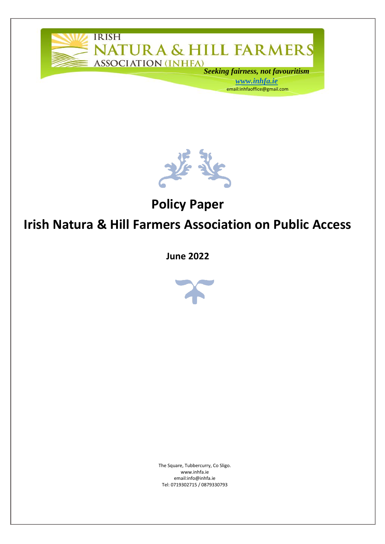

**June 2022**



The Square, Tubbercurry, Co Sligo. www.inhfa.ie email:info@inhfa.ie Tel: 0719302715 / 0879330793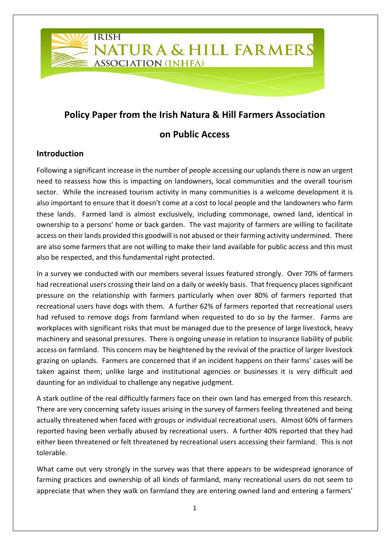# **Policy Paper from the Irish Natura & Hill Farmers Association**

NATURA & HILL FARMERS

#### **on Public Access**

#### **Introduction**

**IRISH** 

**ASSOCIATION (INHFA)** 

Following a significant increase in the number of people accessing our uplands there is now an urgent need to reassess how this is impacting on landowners, local communities and the overall tourism sector. While the increased tourism activity in many communities is a welcome development it is also important to ensure that it doesn't come at a cost to local people and the landowners who farm these lands. Farmed land is almost exclusively, including commonage, owned land, identical in ownership to a persons' home or back garden. The vast majority of farmers are willing to facilitate access on their lands provided this goodwill is not abused or their farming activity undermined. There are also some farmers that are not willing to make their land available for public access and this must also be respected, and this fundamental right protected.

In a survey we conducted with our members several issues featured strongly. Over 70% of farmers had recreational users crossing their land on a daily or weekly basis. That frequency places significant pressure on the relationship with farmers particularly when over 80% of farmers reported that recreational users have dogs with them. A further 62% of farmers reported that recreational users had refused to remove dogs from farmland when requested to do so by the farmer. Farms are workplaces with significant risks that must be managed due to the presence of large livestock, heavy machinery and seasonal pressures. There is ongoing unease in relation to insurance liability of public access on farmland. This concern may be heightened by the revival of the practice of larger livestock grazing on uplands. Farmers are concerned that if an incident happens on their farms' cases will be taken against them; unlike large and institutional agencies or businesses it is very difficult and daunting for an individual to challenge any negative judgment.

A stark outline of the real difficultly farmers face on their own land has emerged from this research. There are very concerning safety issues arising in the survey of farmers feeling threatened and being actually threatened when faced with groups or individual recreational users. Almost 60% of farmers reported having been verbally abused by recreational users. A further 40% reported that they had either been threatened or felt threatened by recreational users accessing their farmland. This is not tolerable.

What came out very strongly in the survey was that there appears to be widespread ignorance of farming practices and ownership of all kinds of farmland, many recreational users do not seem to appreciate that when they walk on farmland they are entering owned land and entering a farmers'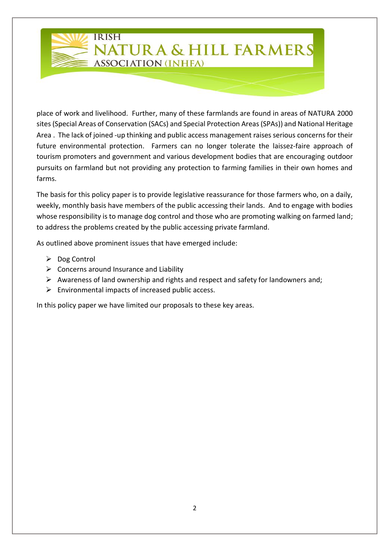# **IRISH** NATURA & HILL FARMERS

**ASSOCIATION (INHFA)** 

place of work and livelihood. Further, many of these farmlands are found in areas of NATURA 2000 sites (Special Areas of Conservation (SACs) and Special Protection Areas (SPAs)) and National Heritage Area . The lack of joined -up thinking and public access management raises serious concerns for their future environmental protection. Farmers can no longer tolerate the laissez-faire approach of tourism promoters and government and various development bodies that are encouraging outdoor pursuits on farmland but not providing any protection to farming families in their own homes and farms.

The basis for this policy paper is to provide legislative reassurance for those farmers who, on a daily, weekly, monthly basis have members of the public accessing their lands. And to engage with bodies whose responsibility is to manage dog control and those who are promoting walking on farmed land; to address the problems created by the public accessing private farmland.

As outlined above prominent issues that have emerged include:

- $\triangleright$  Dog Control
- $\triangleright$  Concerns around Insurance and Liability
- $\triangleright$  Awareness of land ownership and rights and respect and safety for landowners and;
- $\triangleright$  Environmental impacts of increased public access.

In this policy paper we have limited our proposals to these key areas.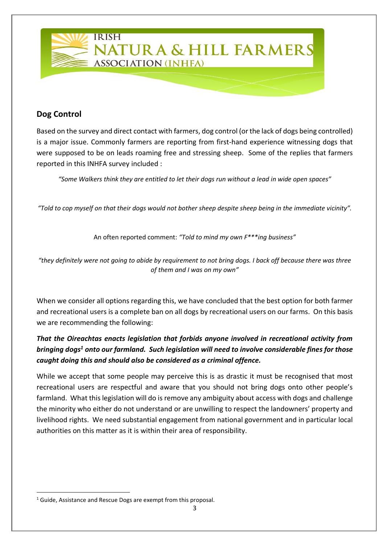

# **Dog Control**

Based on the survey and direct contact with farmers, dog control (or the lack of dogs being controlled) is a major issue. Commonly farmers are reporting from first-hand experience witnessing dogs that were supposed to be on leads roaming free and stressing sheep. Some of the replies that farmers reported in this INHFA survey included :

*"Some Walkers think they are entitled to let their dogs run without a lead in wide open spaces"*

*"Told to cop myself on that their dogs would not bother sheep despite sheep being in the immediate vicinity".*

An often reported comment: *"Told to mind my own F\*\*\*ing business"*

*"they definitely were not going to abide by requirement to not bring dogs. I back off because there was three of them and I was on my own"*

When we consider all options regarding this, we have concluded that the best option for both farmer and recreational users is a complete ban on all dogs by recreational users on our farms. On this basis we are recommending the following:

# *That the Oireachtas enacts legislation that forbids anyone involved in recreational activity from bringing dogs<sup>1</sup> onto our farmland. Such legislation will need to involve considerable fines for those caught doing this and should also be considered as a criminal offence.*

While we accept that some people may perceive this is as drastic it must be recognised that most recreational users are respectful and aware that you should not bring dogs onto other people's farmland. What this legislation will do is remove any ambiguity about access with dogs and challenge the minority who either do not understand or are unwilling to respect the landowners' property and livelihood rights. We need substantial engagement from national government and in particular local authorities on this matter as it is within their area of responsibility.

**.** 

 $1$  Guide, Assistance and Rescue Dogs are exempt from this proposal.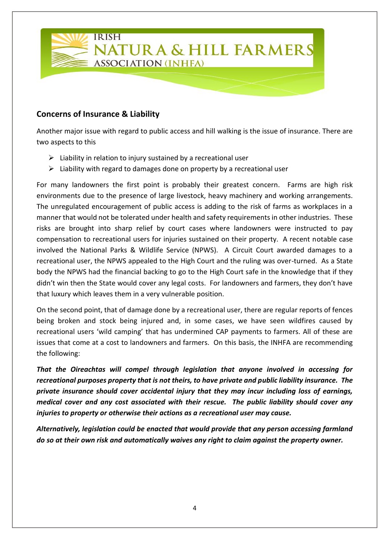

#### **Concerns of Insurance & Liability**

Another major issue with regard to public access and hill walking is the issue of insurance. There are two aspects to this

- $\triangleright$  Liability in relation to injury sustained by a recreational user
- $\triangleright$  Liability with regard to damages done on property by a recreational user

For many landowners the first point is probably their greatest concern. Farms are high risk environments due to the presence of large livestock, heavy machinery and working arrangements. The unregulated encouragement of public access is adding to the risk of farms as workplaces in a manner that would not be tolerated under health and safety requirements in other industries. These risks are brought into sharp relief by court cases where landowners were instructed to pay compensation to recreational users for injuries sustained on their property. A recent notable case involved the National Parks & Wildlife Service (NPWS). A Circuit Court awarded damages to a recreational user, the NPWS appealed to the High Court and the ruling was over-turned. As a State body the NPWS had the financial backing to go to the High Court safe in the knowledge that if they didn't win then the State would cover any legal costs. For landowners and farmers, they don't have that luxury which leaves them in a very vulnerable position.

On the second point, that of damage done by a recreational user, there are regular reports of fences being broken and stock being injured and, in some cases, we have seen wildfires caused by recreational users 'wild camping' that has undermined CAP payments to farmers. All of these are issues that come at a cost to landowners and farmers. On this basis, the INHFA are recommending the following:

*That the Oireachtas will compel through legislation that anyone involved in accessing for recreational purposes property that is not theirs, to have private and public liability insurance. The private insurance should cover accidental injury that they may incur including loss of earnings, medical cover and any cost associated with their rescue. The public liability should cover any injuries to property or otherwise their actions as a recreational user may cause.* 

*Alternatively, legislation could be enacted that would provide that any person accessing farmland do so at their own risk and automatically waives any right to claim against the property owner.*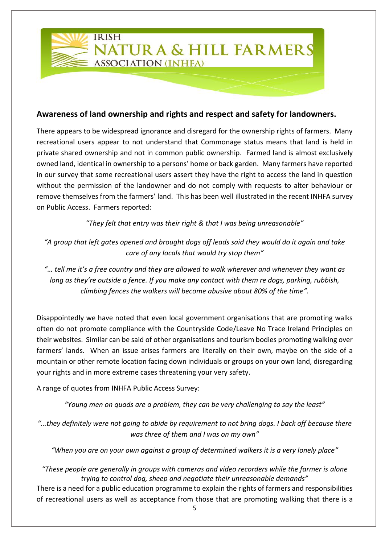**IRISH** 

**ASSOCIATION (INHFA)** 

#### **Awareness of land ownership and rights and respect and safety for landowners.**

NATURA & HILL FARMERS

There appears to be widespread ignorance and disregard for the ownership rights of farmers. Many recreational users appear to not understand that Commonage status means that land is held in private shared ownership and not in common public ownership. Farmed land is almost exclusively owned land, identical in ownership to a persons' home or back garden. Many farmers have reported in our survey that some recreational users assert they have the right to access the land in question without the permission of the landowner and do not comply with requests to alter behaviour or remove themselves from the farmers' land. This has been well illustrated in the recent INHFA survey on Public Access. Farmers reported:

*"They felt that entry was their right & that I was being unreasonable"*

*"A group that left gates opened and brought dogs off leads said they would do it again and take care of any locals that would try stop them"*

*"… tell me it's a free country and they are allowed to walk wherever and whenever they want as long as they're outside a fence. If you make any contact with them re dogs, parking, rubbish, climbing fences the walkers will become abusive about 80% of the time".*

Disappointedly we have noted that even local government organisations that are promoting walks often do not promote compliance with the Countryside Code/Leave No Trace Ireland Principles on their websites. Similar can be said of other organisations and tourism bodies promoting walking over farmers' lands. When an issue arises farmers are literally on their own, maybe on the side of a mountain or other remote location facing down individuals or groups on your own land, disregarding your rights and in more extreme cases threatening your very safety.

A range of quotes from INHFA Public Access Survey:

*"Young men on quads are a problem, they can be very challenging to say the least"*

*"...they definitely were not going to abide by requirement to not bring dogs. I back off because there was three of them and I was on my own"*

*"When you are on your own against a group of determined walkers it is a very lonely place"*

*"These people are generally in groups with cameras and video recorders while the farmer is alone trying to control dog, sheep and negotiate their unreasonable demands"*

There is a need for a public education programme to explain the rights of farmers and responsibilities of recreational users as well as acceptance from those that are promoting walking that there is a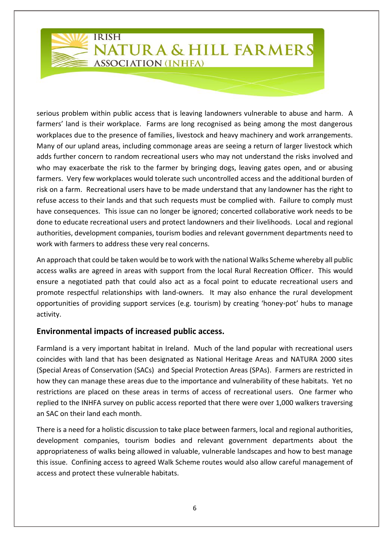# **IRISH**

# NATURA & HILL FARMERS **ASSOCIATION (INHFA)**

serious problem within public access that is leaving landowners vulnerable to abuse and harm. A farmers' land is their workplace. Farms are long recognised as being among the most dangerous workplaces due to the presence of families, livestock and heavy machinery and work arrangements. Many of our upland areas, including commonage areas are seeing a return of larger livestock which adds further concern to random recreational users who may not understand the risks involved and who may exacerbate the risk to the farmer by bringing dogs, leaving gates open, and or abusing farmers. Very few workplaces would tolerate such uncontrolled access and the additional burden of risk on a farm. Recreational users have to be made understand that any landowner has the right to refuse access to their lands and that such requests must be complied with. Failure to comply must have consequences. This issue can no longer be ignored; concerted collaborative work needs to be done to educate recreational users and protect landowners and their livelihoods. Local and regional authorities, development companies, tourism bodies and relevant government departments need to work with farmers to address these very real concerns.

An approach that could be taken would be to work with the national Walks Scheme whereby all public access walks are agreed in areas with support from the local Rural Recreation Officer. This would ensure a negotiated path that could also act as a focal point to educate recreational users and promote respectful relationships with land-owners. It may also enhance the rural development opportunities of providing support services (e.g. tourism) by creating 'honey-pot' hubs to manage activity.

## **Environmental impacts of increased public access.**

Farmland is a very important habitat in Ireland. Much of the land popular with recreational users coincides with land that has been designated as National Heritage Areas and NATURA 2000 sites (Special Areas of Conservation (SACs) and Special Protection Areas (SPAs). Farmers are restricted in how they can manage these areas due to the importance and vulnerability of these habitats. Yet no restrictions are placed on these areas in terms of access of recreational users. One farmer who replied to the INHFA survey on public access reported that there were over 1,000 walkers traversing an SAC on their land each month.

There is a need for a holistic discussion to take place between farmers, local and regional authorities, development companies, tourism bodies and relevant government departments about the appropriateness of walks being allowed in valuable, vulnerable landscapes and how to best manage this issue. Confining access to agreed Walk Scheme routes would also allow careful management of access and protect these vulnerable habitats.